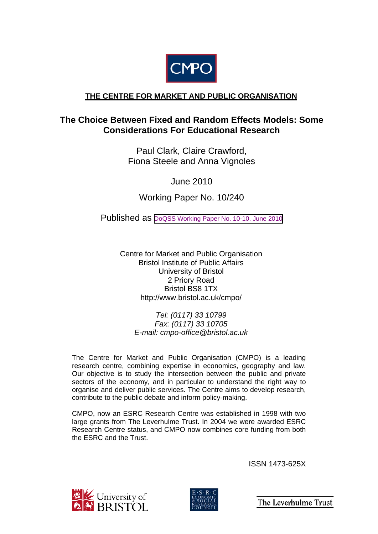

## **THE CENTRE FOR MARKET AND PUBLIC ORGANISATION**

# **The Choice Between Fixed and Random Effects Models: Some Considerations For Educational Research**

Paul Clark, Claire Crawford, Fiona Steele and Anna Vignoles

June 2010

Working Paper No. 10/240

Published as [DoQSS Working Paper No. 10-10. June 2010](http://repec.ioe.ac.uk/REPEc/pdf/qsswp1010.pdf)

Centre for Market and Public Organisation Bristol Institute of Public Affairs University of Bristol 2 Priory Road Bristol BS8 1TX http://www.bristol.ac.uk/cmpo/

> *Tel: (0117) 33 10799 Fax: (0117) 33 10705 E-mail: cmpo-office@bristol.ac.uk*

The Centre for Market and Public Organisation (CMPO) is a leading research centre, combining expertise in economics, geography and law. Our objective is to study the intersection between the public and private sectors of the economy, and in particular to understand the right way to organise and deliver public services. The Centre aims to develop research, contribute to the public debate and inform policy-making.

CMPO, now an ESRC Research Centre was established in 1998 with two large grants from The Leverhulme Trust. In 2004 we were awarded ESRC Research Centre status, and CMPO now combines core funding from both the ESRC and the Trust.

ISSN 1473-625X





The Leverhulme Trust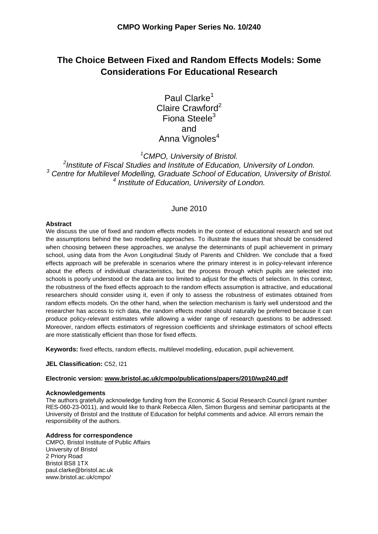# **The Choice Between Fixed and Random Effects Models: Some Considerations For Educational Research**

Paul Clarke<sup>1</sup> Claire Crawford<sup>2</sup> Fiona Steele $3$ and Anna Vignoles<sup>4</sup>

*1 CMPO, University of Bristol.* 

*2 Institute of Fiscal Studies and Institute of Education, University of London.*  <sup>3</sup> Centre for Multilevel Modelling, Graduate School of Education, University of Bristol. *4 Institute of Education, University of London.* 

#### June 2010

#### **Abstract**

We discuss the use of fixed and random effects models in the context of educational research and set out the assumptions behind the two modelling approaches. To illustrate the issues that should be considered when choosing between these approaches, we analyse the determinants of pupil achievement in primary school, using data from the Avon Longitudinal Study of Parents and Children. We conclude that a fixed effects approach will be preferable in scenarios where the primary interest is in policy-relevant inference about the effects of individual characteristics, but the process through which pupils are selected into schools is poorly understood or the data are too limited to adjust for the effects of selection. In this context, the robustness of the fixed effects approach to the random effects assumption is attractive, and educational researchers should consider using it, even if only to assess the robustness of estimates obtained from random effects models. On the other hand, when the selection mechanism is fairly well understood and the researcher has access to rich data, the random effects model should naturally be preferred because it can produce policy-relevant estimates while allowing a wider range of research questions to be addressed. Moreover, random effects estimators of regression coefficients and shrinkage estimators of school effects are more statistically efficient than those for fixed effects.

**Keywords:** fixed effects, random effects, multilevel modelling, education, pupil achievement.

**JEL Classification:** C52, I21

#### **Electronic version: www.bristol.ac.uk/cmpo/publications/papers/2010/wp240.pdf**

#### **Acknowledgements**

The authors gratefully acknowledge funding from the Economic & Social Research Council (grant number RES-060-23-0011), and would like to thank Rebecca Allen, Simon Burgess and seminar participants at the University of Bristol and the Institute of Education for helpful comments and advice. All errors remain the responsibility of the authors.

#### **Address for correspondence**

CMPO, Bristol Institute of Public Affairs University of Bristol 2 Priory Road Bristol BS8 1TX paul.clarke@bristol.ac.uk www.bristol.ac.uk/cmpo/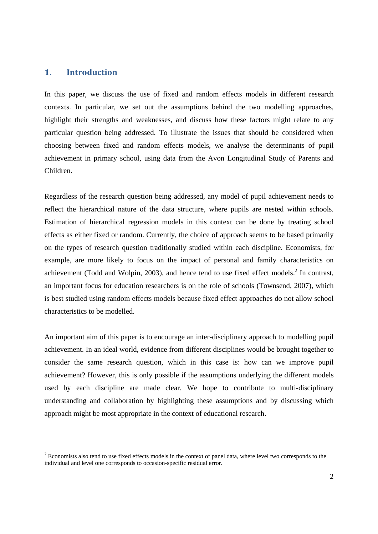## **1. Introduction**

-

In this paper, we discuss the use of fixed and random effects models in different research contexts. In particular, we set out the assumptions behind the two modelling approaches, highlight their strengths and weaknesses, and discuss how these factors might relate to any particular question being addressed. To illustrate the issues that should be considered when choosing between fixed and random effects models, we analyse the determinants of pupil achievement in primary school, using data from the Avon Longitudinal Study of Parents and Children.

Regardless of the research question being addressed, any model of pupil achievement needs to reflect the hierarchical nature of the data structure, where pupils are nested within schools. Estimation of hierarchical regression models in this context can be done by treating school effects as either fixed or random. Currently, the choice of approach seems to be based primarily on the types of research question traditionally studied within each discipline. Economists, for example, are more likely to focus on the impact of personal and family characteristics on achievement (Todd and Wolpin, 2003), and hence tend to use fixed effect models.<sup>2</sup> In contrast, an important focus for education researchers is on the role of schools (Townsend, 2007), which is best studied using random effects models because fixed effect approaches do not allow school characteristics to be modelled.

An important aim of this paper is to encourage an inter-disciplinary approach to modelling pupil achievement. In an ideal world, evidence from different disciplines would be brought together to consider the same research question, which in this case is: how can we improve pupil achievement? However, this is only possible if the assumptions underlying the different models used by each discipline are made clear. We hope to contribute to multi-disciplinary understanding and collaboration by highlighting these assumptions and by discussing which approach might be most appropriate in the context of educational research.

 $2^{2}$  Economists also tend to use fixed effects models in the context of panel data, where level two corresponds to the individual and level one corresponds to occasion-specific residual error.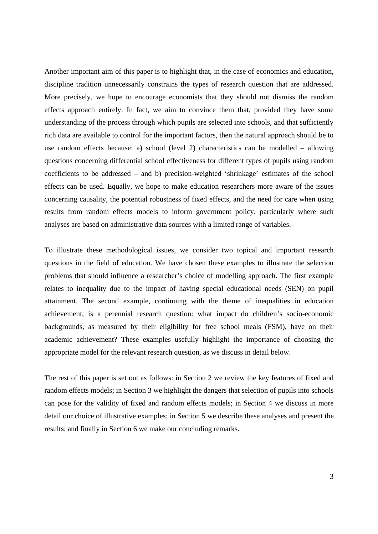Another important aim of this paper is to highlight that, in the case of economics and education, discipline tradition unnecessarily constrains the types of research question that are addressed. More precisely, we hope to encourage economists that they should not dismiss the random effects approach entirely. In fact, we aim to convince them that, provided they have some understanding of the process through which pupils are selected into schools, and that sufficiently rich data are available to control for the important factors, then the natural approach should be to use random effects because: a) school (level 2) characteristics can be modelled – allowing questions concerning differential school effectiveness for different types of pupils using random coefficients to be addressed – and b) precision-weighted 'shrinkage' estimates of the school effects can be used. Equally, we hope to make education researchers more aware of the issues concerning causality, the potential robustness of fixed effects, and the need for care when using results from random effects models to inform government policy, particularly where such analyses are based on administrative data sources with a limited range of variables.

To illustrate these methodological issues, we consider two topical and important research questions in the field of education. We have chosen these examples to illustrate the selection problems that should influence a researcher's choice of modelling approach. The first example relates to inequality due to the impact of having special educational needs (SEN) on pupil attainment. The second example, continuing with the theme of inequalities in education achievement, is a perennial research question: what impact do children's socio-economic backgrounds, as measured by their eligibility for free school meals (FSM), have on their academic achievement? These examples usefully highlight the importance of choosing the appropriate model for the relevant research question, as we discuss in detail below.

The rest of this paper is set out as follows: in Section 2 we review the key features of fixed and random effects models; in Section 3 we highlight the dangers that selection of pupils into schools can pose for the validity of fixed and random effects models; in Section 4 we discuss in more detail our choice of illustrative examples; in Section 5 we describe these analyses and present the results; and finally in Section 6 we make our concluding remarks.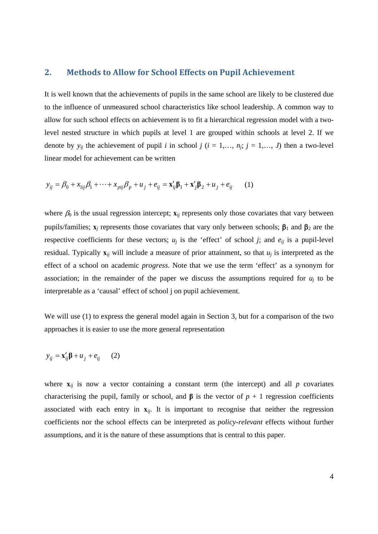#### **2. Methods to Allow for School Effects on Pupil Achievement**

It is well known that the achievements of pupils in the same school are likely to be clustered due to the influence of unmeasured school characteristics like school leadership. A common way to allow for such school effects on achievement is to fit a hierarchical regression model with a twolevel nested structure in which pupils at level 1 are grouped within schools at level 2. If we denote by  $y_{ij}$  the achievement of pupil *i* in school *j* ( $i = 1,..., n_j$ ;  $j = 1,..., J$ ) then a two-level linear model for achievement can be written

$$
y_{ij} = \beta_0 + x_{1ij}\beta_1 + \dots + x_{pi}\beta_p + u_j + e_{ij} = \mathbf{x}'_{ij}\mathbf{\beta}_1 + \mathbf{x}'_{j}\mathbf{\beta}_2 + u_j + e_{ij} \tag{1}
$$

where  $\beta_0$  is the usual regression intercept;  $\mathbf{x}_{ij}$  represents only those covariates that vary between pupils/families;  $\mathbf{x}_i$  represents those covariates that vary only between schools;  $\beta_1$  and  $\beta_2$  are the respective coefficients for these vectors;  $u_j$  is the 'effect' of school *j*; and  $e_{ij}$  is a pupil-level residual. Typically  $\mathbf{x}_{ij}$  will include a measure of prior attainment, so that  $u_i$  is interpreted as the effect of a school on academic *progress*. Note that we use the term 'effect' as a synonym for association; in the remainder of the paper we discuss the assumptions required for  $u_i$  to be interpretable as a 'causal' effect of school j on pupil achievement.

We will use (1) to express the general model again in Section 3, but for a comparison of the two approaches it is easier to use the more general representation

$$
y_{ij} = \mathbf{x}_{ij}'\mathbf{\beta} + u_j + e_{ij} \qquad (2)
$$

where  $\mathbf{x}_{ij}$  is now a vector containing a constant term (the intercept) and all  $p$  covariates characterising the pupil, family or school, and  $\beta$  is the vector of  $p + 1$  regression coefficients associated with each entry in  $\mathbf{x}_{ij}$ . It is important to recognise that neither the regression coefficients nor the school effects can be interpreted as *policy-relevant* effects without further assumptions, and it is the nature of these assumptions that is central to this paper.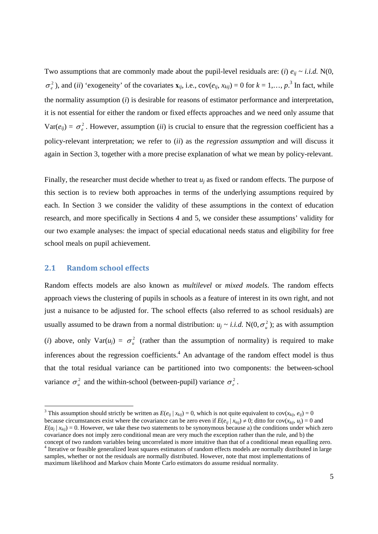Two assumptions that are commonly made about the pupil-level residuals are: (*i*)  $e_{ii} \sim i.i.d.$  N(0,  $\sigma_e^2$ ), and (*ii*) 'exogeneity' of the covariates  $\mathbf{x}_{ij}$ , i.e., cov( $e_{ij}$ ,  $x_{kij}$ ) = 0 for  $k = 1, ..., p$ .<sup>3</sup> In fact, while the normality assumption (*i*) is desirable for reasons of estimator performance and interpretation, it is not essential for either the random or fixed effects approaches and we need only assume that  $Var(e_{ii}) = \sigma^2$ . However, assumption *(ii)* is crucial to ensure that the regression coefficient has a policy-relevant interpretation; we refer to (*ii*) as the *regression assumption* and will discuss it again in Section 3, together with a more precise explanation of what we mean by policy-relevant.

Finally, the researcher must decide whether to treat *uj* as fixed or random effects. The purpose of this section is to review both approaches in terms of the underlying assumptions required by each. In Section 3 we consider the validity of these assumptions in the context of education research, and more specifically in Sections 4 and 5, we consider these assumptions' validity for our two example analyses: the impact of special educational needs status and eligibility for free school meals on pupil achievement.

#### **2.1 Random school effects**

-

Random effects models are also known as *multilevel* or *mixed models*. The random effects approach views the clustering of pupils in schools as a feature of interest in its own right, and not just a nuisance to be adjusted for. The school effects (also referred to as school residuals) are usually assumed to be drawn from a normal distribution:  $u_j \sim i.i.d. N(0, \sigma_u^2)$ ; as with assumption (*i*) above, only Var( $u_j$ ) =  $\sigma_u^2$  (rather than the assumption of normality) is required to make inferences about the regression coefficients.<sup>4</sup> An advantage of the random effect model is thus that the total residual variance can be partitioned into two components: the between-school variance  $\sigma_u^2$  and the within-school (between-pupil) variance  $\sigma_e^2$ .

<sup>&</sup>lt;sup>3</sup> This assumption should strictly be written as  $E(e_{ij} | x_{kij}) = 0$ , which is not quite equivalent to  $cov(x_{kij}, e_{ij}) = 0$ because circumstances exist where the covariance can be zero even if  $E(e_{ij} | x_{kij}) \neq 0$ ; ditto for cov $(x_{kij}, u_i) = 0$  and  $E(u_i | x_{kij}) = 0$ . However, we take these two statements to be synonymous because a) the conditions under which zero covariance does not imply zero conditional mean are very much the exception rather than the rule, and b) the concept of two random variables being uncorrelated is more intuitive than that of a conditional mean equalling zero. <sup>4</sup> Iterative or feasible generalized least squares estimators of random effects models are normally distributed in large

samples, whether or not the residuals are normally distributed. However, note that most implementations of maximum likelihood and Markov chain Monte Carlo estimators do assume residual normality.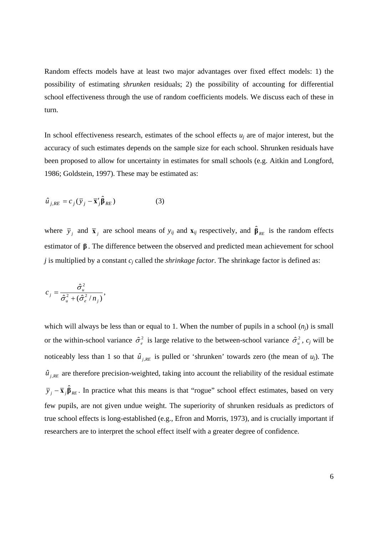Random effects models have at least two major advantages over fixed effect models: 1) the possibility of estimating *shrunken* residuals; 2) the possibility of accounting for differential school effectiveness through the use of random coefficients models. We discuss each of these in turn.

In school effectiveness research, estimates of the school effects  $u_i$  are of major interest, but the accuracy of such estimates depends on the sample size for each school. Shrunken residuals have been proposed to allow for uncertainty in estimates for small schools (e.g. Aitkin and Longford, 1986; Goldstein, 1997). These may be estimated as:

$$
\hat{u}_{j,RE} = c_j (\bar{y}_j - \bar{x}_j' \hat{\beta}_{RE})
$$
 (3)

where  $\bar{y}_j$  and  $\bar{x}_j$  are school means of  $y_{ij}$  and  $\bar{x}_j$  respectively, and  $\hat{\beta}_{RE}$  is the random effects estimator of **β** . The difference between the observed and predicted mean achievement for school *j* is multiplied by a constant *cj* called the *shrinkage factor*. The shrinkage factor is defined as:

$$
c_j = \frac{\hat{\sigma}_u^2}{\hat{\sigma}_u^2 + (\hat{\sigma}_e^2/n_j)},
$$

which will always be less than or equal to 1. When the number of pupils in a school  $(n_i)$  is small or the within-school variance  $\hat{\sigma}_{e}^{2}$  is large relative to the between-school variance  $\hat{\sigma}_{u}^{2}$ ,  $c_j$  will be noticeably less than 1 so that  $\hat{u}_{i_{RE}}$  is pulled or 'shrunken' towards zero (the mean of  $u_i$ ). The  $\hat{u}_{j,RE}$  are therefore precision-weighted, taking into account the reliability of the residual estimate  $\bar{y}_j - \bar{x}_j \hat{\beta}_{\text{RE}}$ . In practice what this means is that "rogue" school effect estimates, based on very few pupils, are not given undue weight. The superiority of shrunken residuals as predictors of true school effects is long-established (e.g., Efron and Morris, 1973), and is crucially important if researchers are to interpret the school effect itself with a greater degree of confidence.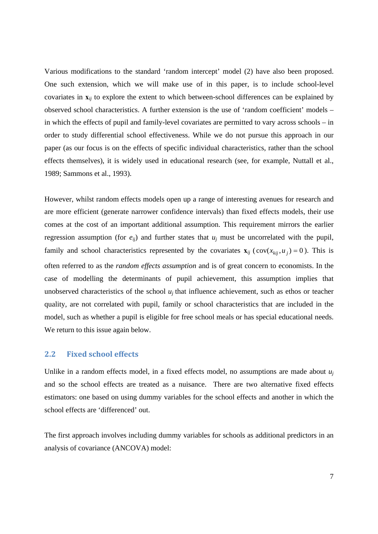Various modifications to the standard 'random intercept' model (2) have also been proposed. One such extension, which we will make use of in this paper, is to include school-level covariates in **x***ij* to explore the extent to which between-school differences can be explained by observed school characteristics. A further extension is the use of 'random coefficient' models – in which the effects of pupil and family-level covariates are permitted to vary across schools – in order to study differential school effectiveness. While we do not pursue this approach in our paper (as our focus is on the effects of specific individual characteristics, rather than the school effects themselves), it is widely used in educational research (see, for example, Nuttall et al., 1989; Sammons et al., 1993).

However, whilst random effects models open up a range of interesting avenues for research and are more efficient (generate narrower confidence intervals) than fixed effects models, their use comes at the cost of an important additional assumption. This requirement mirrors the earlier regression assumption (for  $e_{ii}$ ) and further states that  $u_i$  must be uncorrelated with the pupil, family and school characteristics represented by the covariates  $\mathbf{x}_{ij}$  (cov( $x_{kij}, u_j$ ) = 0). This is often referred to as the *random effects assumption* and is of great concern to economists. In the case of modelling the determinants of pupil achievement, this assumption implies that unobserved characteristics of the school *uj* that influence achievement, such as ethos or teacher quality, are not correlated with pupil, family or school characteristics that are included in the model, such as whether a pupil is eligible for free school meals or has special educational needs. We return to this issue again below.

#### **2.2 Fixed school effects**

Unlike in a random effects model, in a fixed effects model, no assumptions are made about *uj* and so the school effects are treated as a nuisance. There are two alternative fixed effects estimators: one based on using dummy variables for the school effects and another in which the school effects are 'differenced' out.

The first approach involves including dummy variables for schools as additional predictors in an analysis of covariance (ANCOVA) model: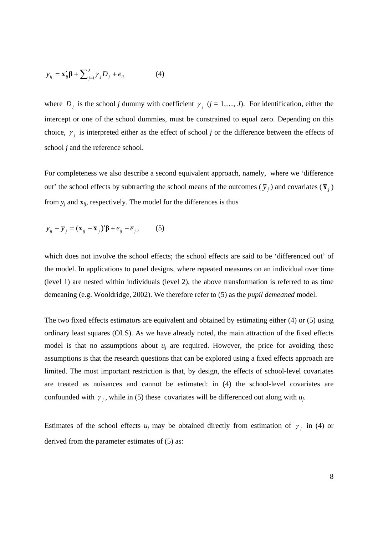$$
y_{ij} = \mathbf{x}'_{ij}\mathbf{\beta} + \sum_{j=1}^{J} \gamma_j D_j + e_{ij}
$$
 (4)

where  $D_j$  is the school *j* dummy with coefficient  $\gamma_j$  (*j* = 1,…, *J*). For identification, either the intercept or one of the school dummies, must be constrained to equal zero. Depending on this choice,  $\gamma$  is interpreted either as the effect of school *j* or the difference between the effects of school *j* and the reference school.

For completeness we also describe a second equivalent approach, namely, where we 'difference out' the school effects by subtracting the school means of the outcomes ( $\bar{y}_i$ ) and covariates ( $\bar{x}_i$ ) from  $y_i$  and  $\mathbf{x}_{ii}$ , respectively. The model for the differences is thus

$$
y_{ij} - \overline{y}_j = (\mathbf{x}_{ij} - \overline{\mathbf{x}}_j)' \boldsymbol{\beta} + e_{ij} - \overline{e}_j, \qquad (5)
$$

which does not involve the school effects; the school effects are said to be 'differenced out' of the model. In applications to panel designs, where repeated measures on an individual over time (level 1) are nested within individuals (level 2), the above transformation is referred to as time demeaning (e.g. Wooldridge, 2002). We therefore refer to (5) as the *pupil demeaned* model.

The two fixed effects estimators are equivalent and obtained by estimating either (4) or (5) using ordinary least squares (OLS). As we have already noted, the main attraction of the fixed effects model is that no assumptions about  $u_i$  are required. However, the price for avoiding these assumptions is that the research questions that can be explored using a fixed effects approach are limited. The most important restriction is that, by design, the effects of school-level covariates are treated as nuisances and cannot be estimated: in (4) the school-level covariates are confounded with  $\gamma_i$ , while in (5) these covariates will be differenced out along with  $u_j$ .

Estimates of the school effects  $u_j$  may be obtained directly from estimation of  $\gamma_i$  in (4) or derived from the parameter estimates of (5) as: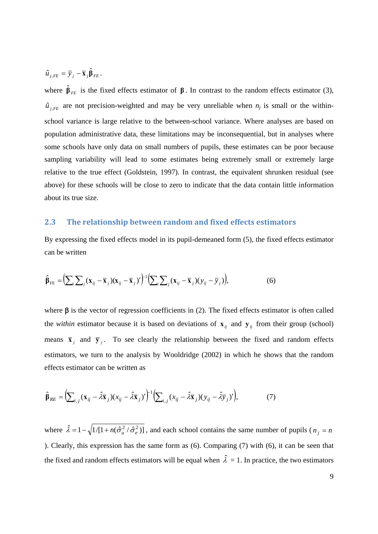$$
\hat{u}_{j,FE} = \overline{y}_j - \overline{\mathbf{x}}_j \hat{\boldsymbol{\beta}}_{FE}.
$$

where  $\hat{\beta}_{FE}$  is the fixed effects estimator of  $\beta$ . In contrast to the random effects estimator (3),  $\hat{u}_{i,FE}$  are not precision-weighted and may be very unreliable when  $n_j$  is small or the withinschool variance is large relative to the between-school variance. Where analyses are based on population administrative data, these limitations may be inconsequential, but in analyses where some schools have only data on small numbers of pupils, these estimates can be poor because sampling variability will lead to some estimates being extremely small or extremely large relative to the true effect (Goldstein, 1997). In contrast, the equivalent shrunken residual (see above) for these schools will be close to zero to indicate that the data contain little information about its true size.

### **2.3 The relationship between random and fixed effects estimators**

By expressing the fixed effects model in its pupil-demeaned form (5), the fixed effects estimator can be written

$$
\hat{\boldsymbol{\beta}}_{FE} = \left(\sum_{i} \sum_{j} (\mathbf{x}_{ij} - \overline{\mathbf{x}}_{j})(\mathbf{x}_{ij} - \overline{\mathbf{x}}_{j})'\right)^{1} \left(\sum_{i} \sum_{j} (\mathbf{x}_{ij} - \overline{\mathbf{x}}_{j})(y_{ij} - \overline{y}_{j})\right),
$$
(6)

where  $\beta$  is the vector of regression coefficients in (2). The fixed effects estimator is often called the *within* estimator because it is based on deviations of  $\mathbf{x}_{ij}$  and  $\mathbf{y}_{ij}$  from their group (school) means  $\bar{x}_j$  and  $\bar{y}_j$ . To see clearly the relationship between the fixed and random effects estimators, we turn to the analysis by Wooldridge (2002) in which he shows that the random effects estimator can be written as

$$
\hat{\beta}_{RE} = \left(\sum_{i,j} (\mathbf{x}_{ij} - \hat{\lambda}\overline{\mathbf{x}}_j)(x_{ij} - \hat{\lambda}\overline{\mathbf{x}}_j)'\right)^{-1} \left(\sum_{i,j} (x_{ij} - \hat{\lambda}\overline{\mathbf{x}}_j)(y_{ij} - \hat{\lambda}\overline{y}_j)'\right),\tag{7}
$$

where  $\hat{\lambda} = 1 - \sqrt{1/[1 + n(\hat{\sigma}_u^2 / \hat{\sigma}_e^2)]}$ , and each school contains the same number of pupils ( $n_j = n$ ). Clearly, this expression has the same form as (6). Comparing (7) with (6), it can be seen that the fixed and random effects estimators will be equal when  $\hat{\lambda} = 1$ . In practice, the two estimators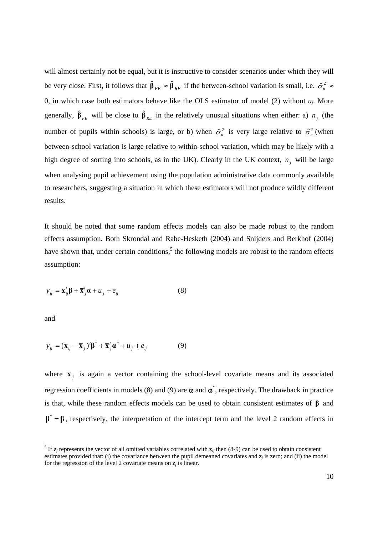will almost certainly not be equal, but it is instructive to consider scenarios under which they will be very close. First, it follows that  $\hat{\beta}_{FE} \approx \hat{\beta}_{RE}$  if the between-school variation is small, i.e.  $\hat{\sigma}_u^2 \approx$ 0, in which case both estimators behave like the OLS estimator of model (2) without  $u_i$ . More generally,  $\hat{\beta}_{FE}$  will be close to  $\hat{\beta}_{RE}$  in the relatively unusual situations when either: a)  $n_j$  (the number of pupils within schools) is large, or b) when  $\hat{\sigma}_u^2$  is very large relative to  $\hat{\sigma}_e^2$  (when between-school variation is large relative to within-school variation, which may be likely with a high degree of sorting into schools, as in the UK). Clearly in the UK context,  $n_j$  will be large when analysing pupil achievement using the population administrative data commonly available to researchers, suggesting a situation in which these estimators will not produce wildly different results.

It should be noted that some random effects models can also be made robust to the random effects assumption. Both Skrondal and Rabe-Hesketh (2004) and Snijders and Berkhof (2004) have shown that, under certain conditions,<sup>5</sup> the following models are robust to the random effects assumption:

$$
y_{ij} = \mathbf{x}'_{ij}\mathbf{\beta} + \overline{\mathbf{x}}'_j\mathbf{\alpha} + u_j + e_{ij}
$$
 (8)

and

-

$$
y_{ij} = (\mathbf{x}_{ij} - \overline{\mathbf{x}}_j)' \boldsymbol{\beta}^* + \overline{\mathbf{x}}'_j \boldsymbol{\alpha}^* + u_j + e_{ij}
$$
 (9)

where  $\bar{\mathbf{x}}_j$  is again a vector containing the school-level covariate means and its associated regression coefficients in models (8) and (9) are  $\alpha$  and  $\alpha^*$ , respectively. The drawback in practice is that, while these random effects models can be used to obtain consistent estimates of **β** and  $\beta^* = \beta$ , respectively, the interpretation of the intercept term and the level 2 random effects in

<sup>&</sup>lt;sup>5</sup> If  $z_j$  represents the vector of all omitted variables correlated with  $x_{ij}$  then (8-9) can be used to obtain consistent estimates provided that: (i) the covariance between the pupil demeaned covariates and **z***j* is zero; and (ii) the model for the regression of the level 2 covariate means on  $z_i$  is linear.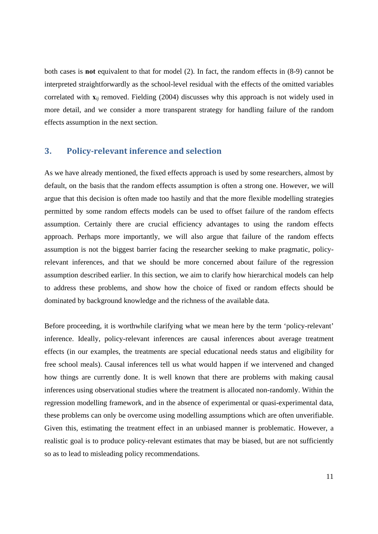both cases is **not** equivalent to that for model (2). In fact, the random effects in (8-9) cannot be interpreted straightforwardly as the school-level residual with the effects of the omitted variables correlated with **x***ij* removed. Fielding (2004) discusses why this approach is not widely used in more detail, and we consider a more transparent strategy for handling failure of the random effects assumption in the next section.

## **3. Policyrelevant inference and selection**

As we have already mentioned, the fixed effects approach is used by some researchers, almost by default, on the basis that the random effects assumption is often a strong one. However, we will argue that this decision is often made too hastily and that the more flexible modelling strategies permitted by some random effects models can be used to offset failure of the random effects assumption. Certainly there are crucial efficiency advantages to using the random effects approach. Perhaps more importantly, we will also argue that failure of the random effects assumption is not the biggest barrier facing the researcher seeking to make pragmatic, policyrelevant inferences, and that we should be more concerned about failure of the regression assumption described earlier. In this section, we aim to clarify how hierarchical models can help to address these problems, and show how the choice of fixed or random effects should be dominated by background knowledge and the richness of the available data.

Before proceeding, it is worthwhile clarifying what we mean here by the term 'policy-relevant' inference. Ideally, policy-relevant inferences are causal inferences about average treatment effects (in our examples, the treatments are special educational needs status and eligibility for free school meals). Causal inferences tell us what would happen if we intervened and changed how things are currently done. It is well known that there are problems with making causal inferences using observational studies where the treatment is allocated non-randomly. Within the regression modelling framework, and in the absence of experimental or quasi-experimental data, these problems can only be overcome using modelling assumptions which are often unverifiable. Given this, estimating the treatment effect in an unbiased manner is problematic. However, a realistic goal is to produce policy-relevant estimates that may be biased, but are not sufficiently so as to lead to misleading policy recommendations.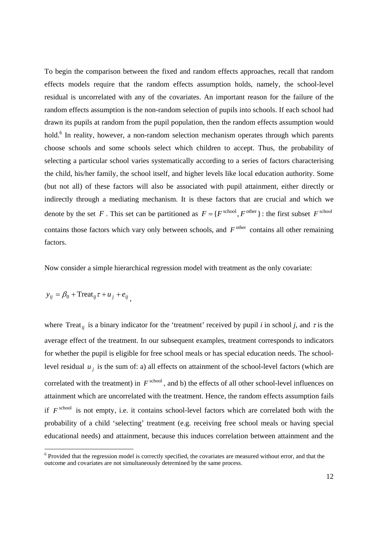To begin the comparison between the fixed and random effects approaches, recall that random effects models require that the random effects assumption holds, namely, the school-level residual is uncorrelated with any of the covariates. An important reason for the failure of the random effects assumption is the non-random selection of pupils into schools. If each school had drawn its pupils at random from the pupil population, then the random effects assumption would hold.<sup>6</sup> In reality, however, a non-random selection mechanism operates through which parents choose schools and some schools select which children to accept. Thus, the probability of selecting a particular school varies systematically according to a series of factors characterising the child, his/her family, the school itself, and higher levels like local education authority. Some (but not all) of these factors will also be associated with pupil attainment, either directly or indirectly through a mediating mechanism. It is these factors that are crucial and which we denote by the set *F*. This set can be partitioned as  $F = \{F^{\text{school}}, F^{\text{other}}\}$ : the first subset  $F^{\text{school}}$ contains those factors which vary only between schools, and  $F^{\text{other}}$  contains all other remaining factors.

Now consider a simple hierarchical regression model with treatment as the only covariate:

$$
y_{ij} = \beta_0 + \text{Treat}_{ij} \tau + u_j + e_{ij},
$$

-

where Treat<sub>ij</sub> is a binary indicator for the 'treatment' received by pupil *i* in school *j*, and  $\tau$  is the average effect of the treatment. In our subsequent examples, treatment corresponds to indicators for whether the pupil is eligible for free school meals or has special education needs. The schoollevel residual  $u_j$  is the sum of: a) all effects on attainment of the school-level factors (which are correlated with the treatment) in  $F^{\text{school}}$ , and b) the effects of all other school-level influences on attainment which are uncorrelated with the treatment. Hence, the random effects assumption fails if  $F^{\text{school}}$  is not empty, i.e. it contains school-level factors which are correlated both with the probability of a child 'selecting' treatment (e.g. receiving free school meals or having special educational needs) and attainment, because this induces correlation between attainment and the

<sup>&</sup>lt;sup>6</sup> Provided that the regression model is correctly specified, the covariates are measured without error, and that the outcome and covariates are not simultaneously determined by the same process.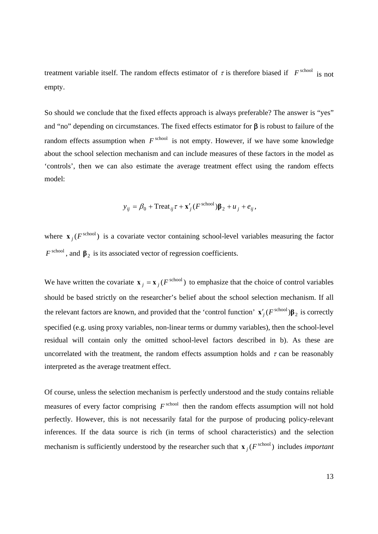treatment variable itself. The random effects estimator of  $\tau$  is therefore biased if  $F^{\text{school}}$  is not empty.

So should we conclude that the fixed effects approach is always preferable? The answer is "yes" and "no" depending on circumstances. The fixed effects estimator for β is robust to failure of the random effects assumption when  $F^{\text{school}}$  is not empty. However, if we have some knowledge about the school selection mechanism and can include measures of these factors in the model as 'controls', then we can also estimate the average treatment effect using the random effects model:

$$
y_{ij} = \beta_0 + \text{Treat}_{ij} \tau + \mathbf{x}'_j (F^{\text{school}}) \beta_2 + u_j + e_{ij},
$$

where  $\mathbf{x}$  *j*( $F^{\text{school}}$ ) is a covariate vector containing school-level variables measuring the factor  $F^{\text{school}}$ , and  $\beta_2$  is its associated vector of regression coefficients.

We have written the covariate  $\mathbf{x}$  *j* =  $\mathbf{x}$  *j* (*F*<sup>school</sup>) to emphasize that the choice of control variables should be based strictly on the researcher's belief about the school selection mechanism. If all the relevant factors are known, and provided that the 'control function'  $\mathbf{x}'_j$  (*F*<sup>school</sup>) $\beta_2$  is correctly specified (e.g. using proxy variables, non-linear terms or dummy variables), then the school-level residual will contain only the omitted school-level factors described in b). As these are uncorrelated with the treatment, the random effects assumption holds and  $\tau$  can be reasonably interpreted as the average treatment effect.

Of course, unless the selection mechanism is perfectly understood and the study contains reliable measures of every factor comprising  $F^{\text{school}}$  then the random effects assumption will not hold perfectly. However, this is not necessarily fatal for the purpose of producing policy-relevant inferences. If the data source is rich (in terms of school characteristics) and the selection mechanism is sufficiently understood by the researcher such that  $\mathbf{x}$  *i* ( $F^{\text{school}}$ ) includes *important*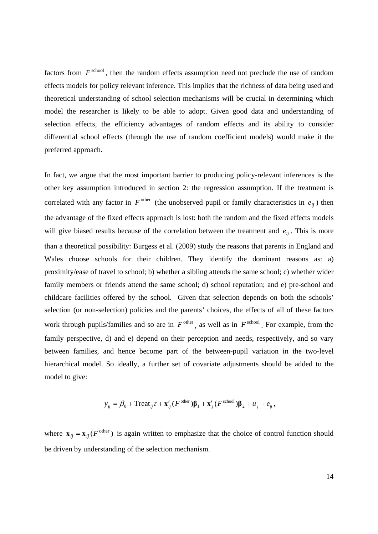factors from  $F^{\text{school}}$ , then the random effects assumption need not preclude the use of random effects models for policy relevant inference. This implies that the richness of data being used and theoretical understanding of school selection mechanisms will be crucial in determining which model the researcher is likely to be able to adopt. Given good data and understanding of selection effects, the efficiency advantages of random effects and its ability to consider differential school effects (through the use of random coefficient models) would make it the preferred approach.

In fact, we argue that the most important barrier to producing policy-relevant inferences is the other key assumption introduced in section 2: the regression assumption. If the treatment is correlated with any factor in  $F^{\text{other}}$  (the unobserved pupil or family characteristics in  $e_{ii}$ ) then the advantage of the fixed effects approach is lost: both the random and the fixed effects models will give biased results because of the correlation between the treatment and  $e_{ii}$ . This is more than a theoretical possibility: Burgess et al. (2009) study the reasons that parents in England and Wales choose schools for their children. They identify the dominant reasons as: a) proximity/ease of travel to school; b) whether a sibling attends the same school; c) whether wider family members or friends attend the same school; d) school reputation; and e) pre-school and childcare facilities offered by the school. Given that selection depends on both the schools' selection (or non-selection) policies and the parents' choices, the effects of all of these factors work through pupils/families and so are in  $F^{\text{other}}$ , as well as in  $F^{\text{school}}$ . For example, from the family perspective, d) and e) depend on their perception and needs, respectively, and so vary between families, and hence become part of the between-pupil variation in the two-level hierarchical model. So ideally, a further set of covariate adjustments should be added to the model to give:

$$
y_{ij} = \beta_0 + \text{Treat}_{ij} \tau + \mathbf{x}_{ij}^{\prime} (F^{\text{other}}) \mathbf{\beta}_1 + \mathbf{x}_{j}^{\prime} (F^{\text{school}}) \mathbf{\beta}_2 + u_j + e_{ij},
$$

where  $\mathbf{x}_{ij} = \mathbf{x}_{ij} (F^{\text{other}})$  is again written to emphasize that the choice of control function should be driven by understanding of the selection mechanism.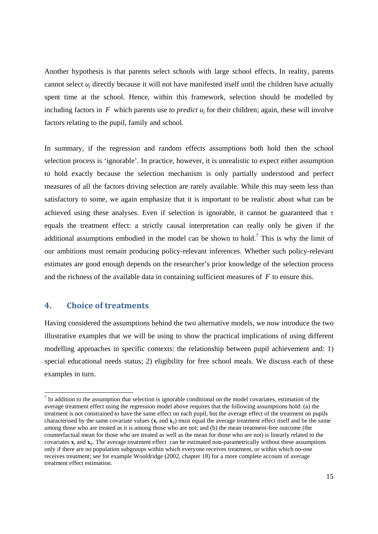Another hypothesis is that parents select schools with large school effects. In reality, parents cannot select *uj* directly because it will not have manifested itself until the children have actually spent time at the school. Hence, within this framework, selection should be modelled by including factors in  $F$  which parents use to *predict*  $u_i$  for their children; again, these will involve factors relating to the pupil, family and school.

In summary, if the regression and random effects assumptions both hold then the school selection process is 'ignorable'. In practice, however, it is unrealistic to expect either assumption to hold exactly because the selection mechanism is only partially understood and perfect measures of all the factors driving selection are rarely available. While this may seem less than satisfactory to some, we again emphasize that it is important to be realistic about what can be achieved using these analyses. Even if selection is ignorable, it cannot be guaranteed that  $\tau$ equals the treatment effect: a strictly causal interpretation can really only be given if the additional assumptions embodied in the model can be shown to hold.<sup>7</sup> This is why the limit of our ambitions must remain producing policy-relevant inferences. Whether such policy-relevant estimates are good enough depends on the researcher's prior knowledge of the selection process and the richness of the available data in containing sufficient measures of *F* to ensure this.

## **4. Choice of treatments**

-

Having considered the assumptions behind the two alternative models, we now introduce the two illustrative examples that we will be using to show the practical implications of using different modelling approaches in specific contexts: the relationship between pupil achievement and: 1) special educational needs status; 2) eligibility for free school meals. We discuss each of these examples in turn.

 $<sup>7</sup>$  In addition to the assumption that selection is ignorable conditional on the model covariates, estimation of the</sup> average treatment effect using the regression model above requires that the following assumptions hold: (a) the treatment is not constrained to have the same effect on each pupil, but the average effect of the treatment on pupils characterised by the same covariate values  $(\mathbf{x}_i$  and  $\mathbf{x}_i$ ) must equal the average treatment effect itself and be the same among those who are treated as it is among those who are not; and (b) the mean treatment-free outcome (the counterfactual mean for those who are treated as well as the mean for those who are not) is linearly related to the covariates  $\mathbf{x}_i$  and  $\mathbf{x}_{ij}$ . The average treatment effect can be estimated non-parametrically without these assumptions only if there are no population subgroups within which everyone receives treatment, or within which no-one receives treatment; see for example Wooldridge (2002, chapter 18) for a more complete account of average treatment effect estimation.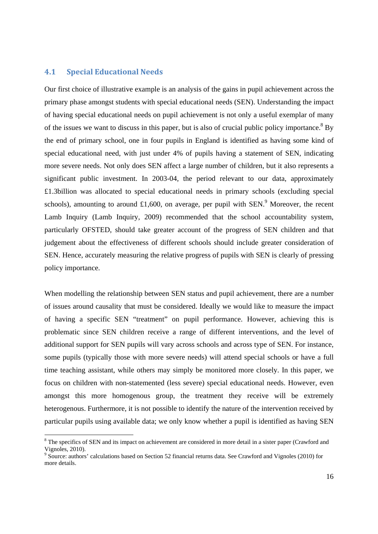#### **4.1 Special Educational Needs**

-

Our first choice of illustrative example is an analysis of the gains in pupil achievement across the primary phase amongst students with special educational needs (SEN). Understanding the impact of having special educational needs on pupil achievement is not only a useful exemplar of many of the issues we want to discuss in this paper, but is also of crucial public policy importance.  $8$  By the end of primary school, one in four pupils in England is identified as having some kind of special educational need, with just under 4% of pupils having a statement of SEN, indicating more severe needs. Not only does SEN affect a large number of children, but it also represents a significant public investment. In 2003-04, the period relevant to our data, approximately £1.3billion was allocated to special educational needs in primary schools (excluding special schools), amounting to around £1,600, on average, per pupil with SEN.<sup>9</sup> Moreover, the recent Lamb Inquiry (Lamb Inquiry, 2009) recommended that the school accountability system, particularly OFSTED, should take greater account of the progress of SEN children and that judgement about the effectiveness of different schools should include greater consideration of SEN. Hence, accurately measuring the relative progress of pupils with SEN is clearly of pressing policy importance.

When modelling the relationship between SEN status and pupil achievement, there are a number of issues around causality that must be considered. Ideally we would like to measure the impact of having a specific SEN "treatment" on pupil performance. However, achieving this is problematic since SEN children receive a range of different interventions, and the level of additional support for SEN pupils will vary across schools and across type of SEN. For instance, some pupils (typically those with more severe needs) will attend special schools or have a full time teaching assistant, while others may simply be monitored more closely. In this paper, we focus on children with non-statemented (less severe) special educational needs. However, even amongst this more homogenous group, the treatment they receive will be extremely heterogenous. Furthermore, it is not possible to identify the nature of the intervention received by particular pupils using available data; we only know whether a pupil is identified as having SEN

<sup>&</sup>lt;sup>8</sup> The specifics of SEN and its impact on achievement are considered in more detail in a sister paper (Crawford and Vignoles, 2010).

<sup>&</sup>lt;sup>9</sup> Source: authors' calculations based on Section 52 financial returns data. See Crawford and Vignoles (2010) for more details.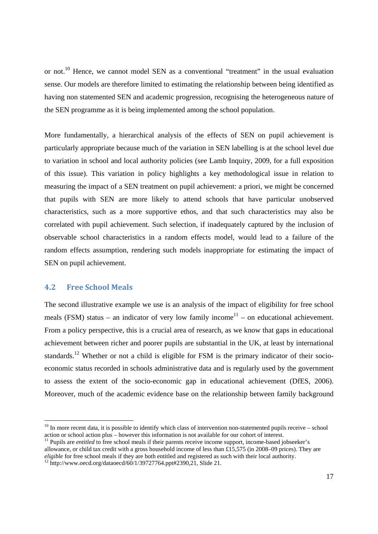or not.<sup>10</sup> Hence, we cannot model SEN as a conventional "treatment" in the usual evaluation sense. Our models are therefore limited to estimating the relationship between being identified as having non statemented SEN and academic progression, recognising the heterogeneous nature of the SEN programme as it is being implemented among the school population.

More fundamentally, a hierarchical analysis of the effects of SEN on pupil achievement is particularly appropriate because much of the variation in SEN labelling is at the school level due to variation in school and local authority policies (see Lamb Inquiry, 2009, for a full exposition of this issue). This variation in policy highlights a key methodological issue in relation to measuring the impact of a SEN treatment on pupil achievement: a priori, we might be concerned that pupils with SEN are more likely to attend schools that have particular unobserved characteristics, such as a more supportive ethos, and that such characteristics may also be correlated with pupil achievement. Such selection, if inadequately captured by the inclusion of observable school characteristics in a random effects model, would lead to a failure of the random effects assumption, rendering such models inappropriate for estimating the impact of SEN on pupil achievement.

### **4.2 Free School Meals**

-

The second illustrative example we use is an analysis of the impact of eligibility for free school meals (FSM) status – an indicator of very low family income<sup>11</sup> – on educational achievement. From a policy perspective, this is a crucial area of research, as we know that gaps in educational achievement between richer and poorer pupils are substantial in the UK, at least by international standards.<sup>12</sup> Whether or not a child is eligible for FSM is the primary indicator of their socioeconomic status recorded in schools administrative data and is regularly used by the government to assess the extent of the socio-economic gap in educational achievement (DfES, 2006). Moreover, much of the academic evidence base on the relationship between family background

 $10$  In more recent data, it is possible to identify which class of intervention non-statemented pupils receive – school action or school action plus – however this information is not available for our cohort of interest.

<sup>&</sup>lt;sup>11</sup> Pupils are *entitled* to free school meals if their parents receive income support, income-based jobseeker's allowance, or child tax credit with a gross household income of less than £15,575 (in 2008–09 prices). They are *eligible* for free school meals if they are both entitled and registered as such with their local authority.<br><sup>12</sup> http://www.oecd.org/dataoecd/60/1/39727764.ppt#2390,21, Slide 21.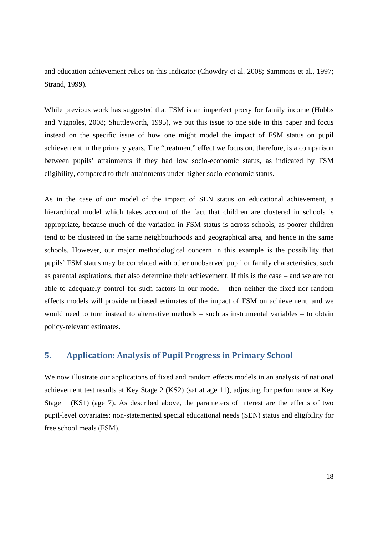and education achievement relies on this indicator (Chowdry et al. 2008; Sammons et al., 1997; Strand, 1999).

While previous work has suggested that FSM is an imperfect proxy for family income (Hobbs and Vignoles, 2008; Shuttleworth, 1995), we put this issue to one side in this paper and focus instead on the specific issue of how one might model the impact of FSM status on pupil achievement in the primary years. The "treatment" effect we focus on, therefore, is a comparison between pupils' attainments if they had low socio-economic status, as indicated by FSM eligibility, compared to their attainments under higher socio-economic status.

As in the case of our model of the impact of SEN status on educational achievement, a hierarchical model which takes account of the fact that children are clustered in schools is appropriate, because much of the variation in FSM status is across schools, as poorer children tend to be clustered in the same neighbourhoods and geographical area, and hence in the same schools. However, our major methodological concern in this example is the possibility that pupils' FSM status may be correlated with other unobserved pupil or family characteristics, such as parental aspirations, that also determine their achievement. If this is the case – and we are not able to adequately control for such factors in our model – then neither the fixed nor random effects models will provide unbiased estimates of the impact of FSM on achievement, and we would need to turn instead to alternative methods – such as instrumental variables – to obtain policy-relevant estimates.

## **5. Application: Analysis of Pupil Progress in Primary School**

We now illustrate our applications of fixed and random effects models in an analysis of national achievement test results at Key Stage 2 (KS2) (sat at age 11), adjusting for performance at Key Stage 1 (KS1) (age 7). As described above, the parameters of interest are the effects of two pupil-level covariates: non-statemented special educational needs (SEN) status and eligibility for free school meals (FSM).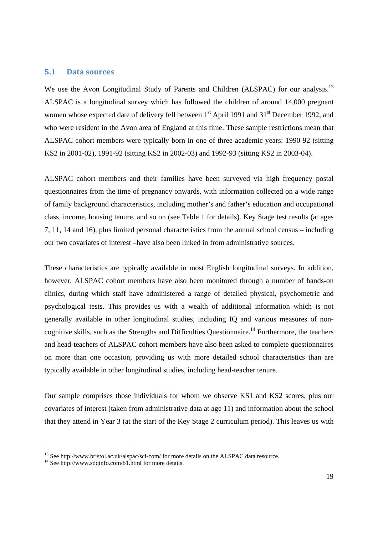#### **5.1 Data sources**

We use the Avon Longitudinal Study of Parents and Children (ALSPAC) for our analysis.<sup>13</sup> ALSPAC is a longitudinal survey which has followed the children of around 14,000 pregnant women whose expected date of delivery fell between  $1<sup>st</sup>$  April 1991 and  $31<sup>st</sup>$  December 1992, and who were resident in the Avon area of England at this time. These sample restrictions mean that ALSPAC cohort members were typically born in one of three academic years: 1990-92 (sitting KS2 in 2001-02), 1991-92 (sitting KS2 in 2002-03) and 1992-93 (sitting KS2 in 2003-04).

ALSPAC cohort members and their families have been surveyed via high frequency postal questionnaires from the time of pregnancy onwards, with information collected on a wide range of family background characteristics, including mother's and father's education and occupational class, income, housing tenure, and so on (see Table 1 for details). Key Stage test results (at ages 7, 11, 14 and 16), plus limited personal characteristics from the annual school census – including our two covariates of interest –have also been linked in from administrative sources.

These characteristics are typically available in most English longitudinal surveys. In addition, however, ALSPAC cohort members have also been monitored through a number of hands-on clinics, during which staff have administered a range of detailed physical, psychometric and psychological tests. This provides us with a wealth of additional information which is not generally available in other longitudinal studies, including IQ and various measures of noncognitive skills, such as the Strengths and Difficulties Questionnaire.<sup>14</sup> Furthermore, the teachers and head-teachers of ALSPAC cohort members have also been asked to complete questionnaires on more than one occasion, providing us with more detailed school characteristics than are typically available in other longitudinal studies, including head-teacher tenure.

Our sample comprises those individuals for whom we observe KS1 and KS2 scores, plus our covariates of interest (taken from administrative data at age 11) and information about the school that they attend in Year 3 (at the start of the Key Stage 2 curriculum period). This leaves us with

-

<sup>&</sup>lt;sup>13</sup> See http://www.bristol.ac.uk/alspac/sci-com/ for more details on the ALSPAC data resource.

<sup>&</sup>lt;sup>14</sup> See http://www.sdqinfo.com/b1.html for more details.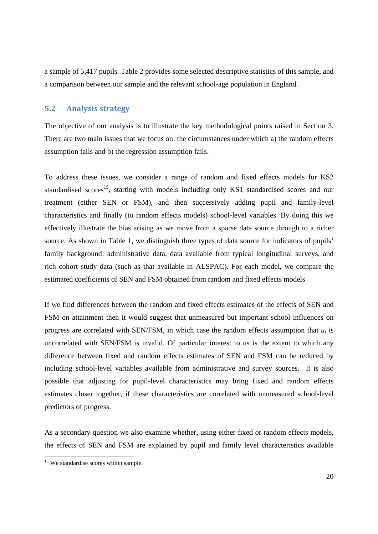a sample of 5,417 pupils. Table 2 provides some selected descriptive statistics of this sample, and a comparison between our sample and the relevant school-age population in England.

## **5.2 Analysis strategy**

The objective of our analysis is to illustrate the key methodological points raised in Section 3. There are two main issues that we focus on: the circumstances under which a) the random effects assumption fails and b) the regression assumption fails.

To address these issues, we consider a range of random and fixed effects models for KS2 standardised scores<sup>15</sup>, starting with models including only KS1 standardised scores and our treatment (either SEN or FSM), and then successively adding pupil and family-level characteristics and finally (to random effects models) school-level variables. By doing this we effectively illustrate the bias arising as we move from a sparse data source through to a richer source. As shown in Table 1, we distinguish three types of data source for indicators of pupils' family background: administrative data, data available from typical longitudinal surveys, and rich cohort study data (such as that available in ALSPAC). For each model, we compare the estimated coefficients of SEN and FSM obtained from random and fixed effects models.

If we find differences between the random and fixed effects estimates of the effects of SEN and FSM on attainment then it would suggest that unmeasured but important school influences on progress are correlated with SEN/FSM, in which case the random effects assumption that  $u_i$  is uncorrelated with SEN/FSM is invalid. Of particular interest to us is the extent to which any difference between fixed and random effects estimates of SEN and FSM can be reduced by including school-level variables available from administrative and survey sources. It is also possible that adjusting for pupil-level characteristics may bring fixed and random effects estimates closer together, if these characteristics are correlated with unmeasured school-level predictors of progress.

As a secondary question we also examine whether, using either fixed or random effects models, the effects of SEN and FSM are explained by pupil and family level characteristics available

1

<sup>&</sup>lt;sup>15</sup> We standardise scores within sample.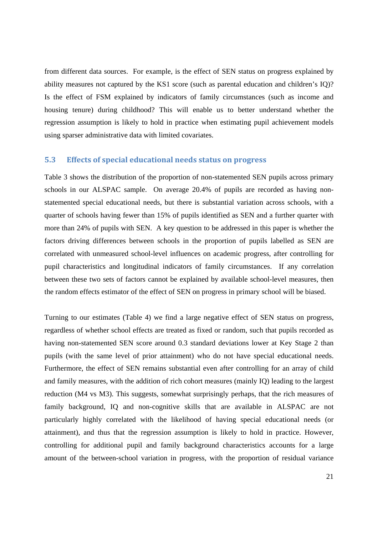from different data sources. For example, is the effect of SEN status on progress explained by ability measures not captured by the KS1 score (such as parental education and children's IQ)? Is the effect of FSM explained by indicators of family circumstances (such as income and housing tenure) during childhood? This will enable us to better understand whether the regression assumption is likely to hold in practice when estimating pupil achievement models using sparser administrative data with limited covariates.

#### **5.3 Effects of special educational needs status on progress**

Table 3 shows the distribution of the proportion of non-statemented SEN pupils across primary schools in our ALSPAC sample. On average 20.4% of pupils are recorded as having nonstatemented special educational needs, but there is substantial variation across schools, with a quarter of schools having fewer than 15% of pupils identified as SEN and a further quarter with more than 24% of pupils with SEN. A key question to be addressed in this paper is whether the factors driving differences between schools in the proportion of pupils labelled as SEN are correlated with unmeasured school-level influences on academic progress, after controlling for pupil characteristics and longitudinal indicators of family circumstances. If any correlation between these two sets of factors cannot be explained by available school-level measures, then the random effects estimator of the effect of SEN on progress in primary school will be biased.

Turning to our estimates (Table 4) we find a large negative effect of SEN status on progress, regardless of whether school effects are treated as fixed or random, such that pupils recorded as having non-statemented SEN score around 0.3 standard deviations lower at Key Stage 2 than pupils (with the same level of prior attainment) who do not have special educational needs. Furthermore, the effect of SEN remains substantial even after controlling for an array of child and family measures, with the addition of rich cohort measures (mainly IQ) leading to the largest reduction (M4 vs M3). This suggests, somewhat surprisingly perhaps, that the rich measures of family background, IQ and non-cognitive skills that are available in ALSPAC are not particularly highly correlated with the likelihood of having special educational needs (or attainment), and thus that the regression assumption is likely to hold in practice. However, controlling for additional pupil and family background characteristics accounts for a large amount of the between-school variation in progress, with the proportion of residual variance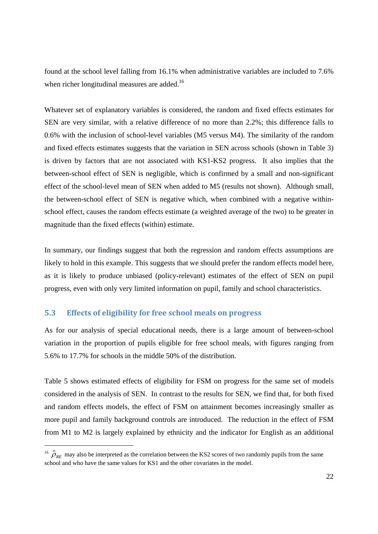found at the school level falling from 16.1% when administrative variables are included to 7.6% when richer longitudinal measures are added.<sup>16</sup>

Whatever set of explanatory variables is considered, the random and fixed effects estimates for SEN are very similar, with a relative difference of no more than 2.2%; this difference falls to 0.6% with the inclusion of school-level variables (M5 versus M4). The similarity of the random and fixed effects estimates suggests that the variation in SEN across schools (shown in Table 3) is driven by factors that are not associated with KS1-KS2 progress. It also implies that the between-school effect of SEN is negligible, which is confirmed by a small and non-significant effect of the school-level mean of SEN when added to M5 (results not shown). Although small, the between-school effect of SEN is negative which, when combined with a negative withinschool effect, causes the random effects estimate (a weighted average of the two) to be greater in magnitude than the fixed effects (within) estimate.

In summary, our findings suggest that both the regression and random effects assumptions are likely to hold in this example. This suggests that we should prefer the random effects model here, as it is likely to produce unbiased (policy-relevant) estimates of the effect of SEN on pupil progress, even with only very limited information on pupil, family and school characteristics.

#### **5.3 Effects of eligibility for free school meals on progress**

-

As for our analysis of special educational needs, there is a large amount of between-school variation in the proportion of pupils eligible for free school meals, with figures ranging from 5.6% to 17.7% for schools in the middle 50% of the distribution.

Table 5 shows estimated effects of eligibility for FSM on progress for the same set of models considered in the analysis of SEN. In contrast to the results for SEN, we find that, for both fixed and random effects models, the effect of FSM on attainment becomes increasingly smaller as more pupil and family background controls are introduced. The reduction in the effect of FSM from M1 to M2 is largely explained by ethnicity and the indicator for English as an additional

<sup>&</sup>lt;sup>16</sup>  $\hat{\rho}_{RF}$  may also be interpreted as the correlation between the KS2 scores of two randomly pupils from the same school and who have the same values for KS1 and the other covariates in the model.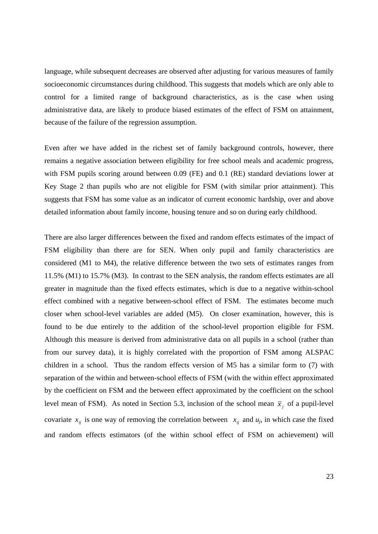language, while subsequent decreases are observed after adjusting for various measures of family socioeconomic circumstances during childhood. This suggests that models which are only able to control for a limited range of background characteristics, as is the case when using administrative data, are likely to produce biased estimates of the effect of FSM on attainment, because of the failure of the regression assumption.

Even after we have added in the richest set of family background controls, however, there remains a negative association between eligibility for free school meals and academic progress, with FSM pupils scoring around between 0.09 (FE) and 0.1 (RE) standard deviations lower at Key Stage 2 than pupils who are not eligible for FSM (with similar prior attainment). This suggests that FSM has some value as an indicator of current economic hardship, over and above detailed information about family income, housing tenure and so on during early childhood.

There are also larger differences between the fixed and random effects estimates of the impact of FSM eligibility than there are for SEN. When only pupil and family characteristics are considered (M1 to M4), the relative difference between the two sets of estimates ranges from 11.5% (M1) to 15.7% (M3). In contrast to the SEN analysis, the random effects estimates are all greater in magnitude than the fixed effects estimates, which is due to a negative within-school effect combined with a negative between-school effect of FSM. The estimates become much closer when school-level variables are added (M5). On closer examination, however, this is found to be due entirely to the addition of the school-level proportion eligible for FSM. Although this measure is derived from administrative data on all pupils in a school (rather than from our survey data), it is highly correlated with the proportion of FSM among ALSPAC children in a school. Thus the random effects version of M5 has a similar form to (7) with separation of the within and between-school effects of FSM (with the within effect approximated by the coefficient on FSM and the between effect approximated by the coefficient on the school level mean of FSM). As noted in Section 5.3, inclusion of the school mean  $\bar{x}$ , of a pupil-level covariate  $x_{ij}$  is one way of removing the correlation between  $x_{ij}$  and  $u_j$ , in which case the fixed and random effects estimators (of the within school effect of FSM on achievement) will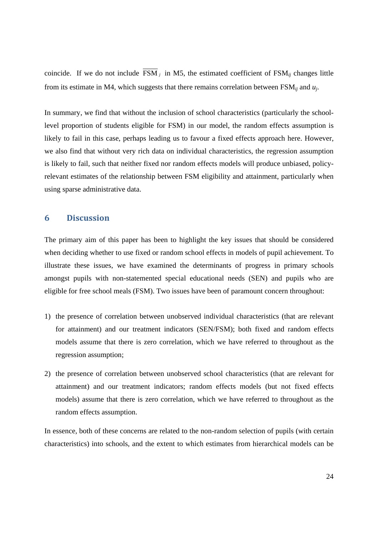coincide. If we do not include FSM *<sup>j</sup>* in M5, the estimated coefficient of FSM*ij* changes little from its estimate in M4, which suggests that there remains correlation between FSM*ij* and *uj*.

In summary, we find that without the inclusion of school characteristics (particularly the schoollevel proportion of students eligible for FSM) in our model, the random effects assumption is likely to fail in this case, perhaps leading us to favour a fixed effects approach here. However, we also find that without very rich data on individual characteristics, the regression assumption is likely to fail, such that neither fixed nor random effects models will produce unbiased, policyrelevant estimates of the relationship between FSM eligibility and attainment, particularly when using sparse administrative data.

### **6 Discussion**

The primary aim of this paper has been to highlight the key issues that should be considered when deciding whether to use fixed or random school effects in models of pupil achievement. To illustrate these issues, we have examined the determinants of progress in primary schools amongst pupils with non-statemented special educational needs (SEN) and pupils who are eligible for free school meals (FSM). Two issues have been of paramount concern throughout:

- 1) the presence of correlation between unobserved individual characteristics (that are relevant for attainment) and our treatment indicators (SEN/FSM); both fixed and random effects models assume that there is zero correlation, which we have referred to throughout as the regression assumption;
- 2) the presence of correlation between unobserved school characteristics (that are relevant for attainment) and our treatment indicators; random effects models (but not fixed effects models) assume that there is zero correlation, which we have referred to throughout as the random effects assumption.

In essence, both of these concerns are related to the non-random selection of pupils (with certain characteristics) into schools, and the extent to which estimates from hierarchical models can be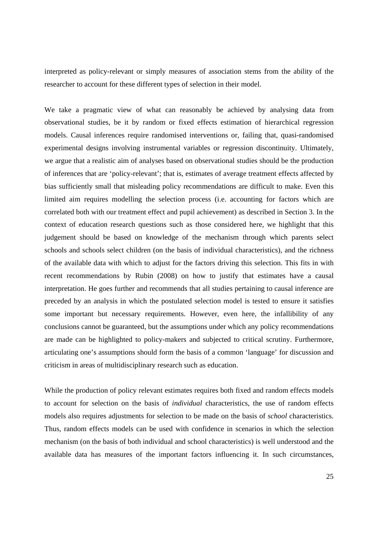interpreted as policy-relevant or simply measures of association stems from the ability of the researcher to account for these different types of selection in their model.

We take a pragmatic view of what can reasonably be achieved by analysing data from observational studies, be it by random or fixed effects estimation of hierarchical regression models. Causal inferences require randomised interventions or, failing that, quasi-randomised experimental designs involving instrumental variables or regression discontinuity. Ultimately, we argue that a realistic aim of analyses based on observational studies should be the production of inferences that are 'policy-relevant'; that is, estimates of average treatment effects affected by bias sufficiently small that misleading policy recommendations are difficult to make. Even this limited aim requires modelling the selection process (i.e. accounting for factors which are correlated both with our treatment effect and pupil achievement) as described in Section 3. In the context of education research questions such as those considered here, we highlight that this judgement should be based on knowledge of the mechanism through which parents select schools and schools select children (on the basis of individual characteristics), and the richness of the available data with which to adjust for the factors driving this selection. This fits in with recent recommendations by Rubin (2008) on how to justify that estimates have a causal interpretation. He goes further and recommends that all studies pertaining to causal inference are preceded by an analysis in which the postulated selection model is tested to ensure it satisfies some important but necessary requirements. However, even here, the infallibility of any conclusions cannot be guaranteed, but the assumptions under which any policy recommendations are made can be highlighted to policy-makers and subjected to critical scrutiny. Furthermore, articulating one's assumptions should form the basis of a common 'language' for discussion and criticism in areas of multidisciplinary research such as education.

While the production of policy relevant estimates requires both fixed and random effects models to account for selection on the basis of *individual* characteristics, the use of random effects models also requires adjustments for selection to be made on the basis of *school* characteristics. Thus, random effects models can be used with confidence in scenarios in which the selection mechanism (on the basis of both individual and school characteristics) is well understood and the available data has measures of the important factors influencing it. In such circumstances,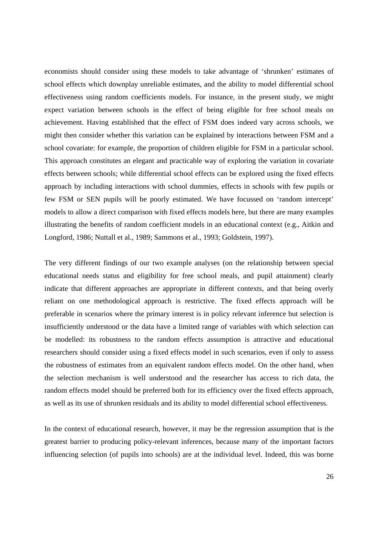economists should consider using these models to take advantage of 'shrunken' estimates of school effects which downplay unreliable estimates, and the ability to model differential school effectiveness using random coefficients models. For instance, in the present study, we might expect variation between schools in the effect of being eligible for free school meals on achievement. Having established that the effect of FSM does indeed vary across schools, we might then consider whether this variation can be explained by interactions between FSM and a school covariate: for example, the proportion of children eligible for FSM in a particular school. This approach constitutes an elegant and practicable way of exploring the variation in covariate effects between schools; while differential school effects can be explored using the fixed effects approach by including interactions with school dummies, effects in schools with few pupils or few FSM or SEN pupils will be poorly estimated. We have focussed on 'random intercept' models to allow a direct comparison with fixed effects models here, but there are many examples illustrating the benefits of random coefficient models in an educational context (e.g., Aitkin and Longford, 1986; Nuttall et al., 1989; Sammons et al., 1993; Goldstein, 1997).

The very different findings of our two example analyses (on the relationship between special educational needs status and eligibility for free school meals, and pupil attainment) clearly indicate that different approaches are appropriate in different contexts, and that being overly reliant on one methodological approach is restrictive. The fixed effects approach will be preferable in scenarios where the primary interest is in policy relevant inference but selection is insufficiently understood or the data have a limited range of variables with which selection can be modelled: its robustness to the random effects assumption is attractive and educational researchers should consider using a fixed effects model in such scenarios, even if only to assess the robustness of estimates from an equivalent random effects model. On the other hand, when the selection mechanism is well understood and the researcher has access to rich data, the random effects model should be preferred both for its efficiency over the fixed effects approach, as well as its use of shrunken residuals and its ability to model differential school effectiveness.

In the context of educational research, however, it may be the regression assumption that is the greatest barrier to producing policy-relevant inferences, because many of the important factors influencing selection (of pupils into schools) are at the individual level. Indeed, this was borne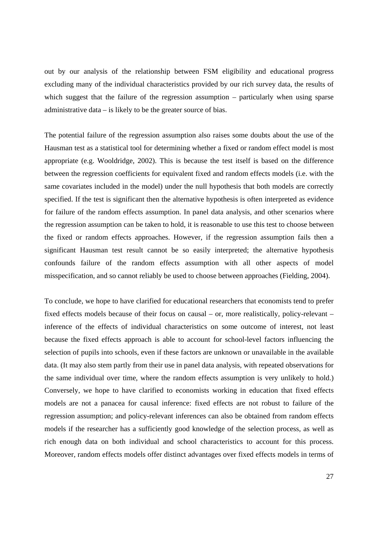out by our analysis of the relationship between FSM eligibility and educational progress excluding many of the individual characteristics provided by our rich survey data, the results of which suggest that the failure of the regression assumption – particularly when using sparse administrative data – is likely to be the greater source of bias.

The potential failure of the regression assumption also raises some doubts about the use of the Hausman test as a statistical tool for determining whether a fixed or random effect model is most appropriate (e.g. Wooldridge, 2002). This is because the test itself is based on the difference between the regression coefficients for equivalent fixed and random effects models (i.e. with the same covariates included in the model) under the null hypothesis that both models are correctly specified. If the test is significant then the alternative hypothesis is often interpreted as evidence for failure of the random effects assumption. In panel data analysis, and other scenarios where the regression assumption can be taken to hold, it is reasonable to use this test to choose between the fixed or random effects approaches. However, if the regression assumption fails then a significant Hausman test result cannot be so easily interpreted; the alternative hypothesis confounds failure of the random effects assumption with all other aspects of model misspecification, and so cannot reliably be used to choose between approaches (Fielding, 2004).

To conclude, we hope to have clarified for educational researchers that economists tend to prefer fixed effects models because of their focus on causal – or, more realistically, policy-relevant – inference of the effects of individual characteristics on some outcome of interest, not least because the fixed effects approach is able to account for school-level factors influencing the selection of pupils into schools, even if these factors are unknown or unavailable in the available data. (It may also stem partly from their use in panel data analysis, with repeated observations for the same individual over time, where the random effects assumption is very unlikely to hold.) Conversely, we hope to have clarified to economists working in education that fixed effects models are not a panacea for causal inference: fixed effects are not robust to failure of the regression assumption; and policy-relevant inferences can also be obtained from random effects models if the researcher has a sufficiently good knowledge of the selection process, as well as rich enough data on both individual and school characteristics to account for this process. Moreover, random effects models offer distinct advantages over fixed effects models in terms of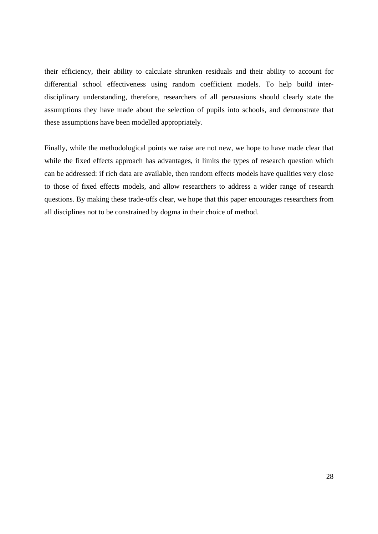their efficiency, their ability to calculate shrunken residuals and their ability to account for differential school effectiveness using random coefficient models. To help build interdisciplinary understanding, therefore, researchers of all persuasions should clearly state the assumptions they have made about the selection of pupils into schools, and demonstrate that these assumptions have been modelled appropriately.

Finally, while the methodological points we raise are not new, we hope to have made clear that while the fixed effects approach has advantages, it limits the types of research question which can be addressed: if rich data are available, then random effects models have qualities very close to those of fixed effects models, and allow researchers to address a wider range of research questions. By making these trade-offs clear, we hope that this paper encourages researchers from all disciplines not to be constrained by dogma in their choice of method.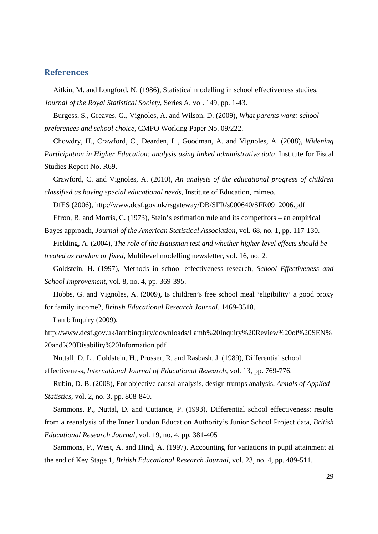#### **References**

Aitkin, M. and Longford, N. (1986), Statistical modelling in school effectiveness studies, *Journal of the Royal Statistical Society*, Series A, vol. 149, pp. 1-43.

Burgess, S., Greaves, G., Vignoles, A. and Wilson, D. (2009), *What parents want: school preferences and school choice*, CMPO Working Paper No. 09/222.

Chowdry, H., Crawford, C., Dearden, L., Goodman, A. and Vignoles, A. (2008), *Widening Participation in Higher Education: analysis using linked administrative data*, Institute for Fiscal Studies Report No. R69.

Crawford, C. and Vignoles, A. (2010), *An analysis of the educational progress of children classified as having special educational needs*, Institute of Education, mimeo.

DfES (2006), http://www.dcsf.gov.uk/rsgateway/DB/SFR/s000640/SFR09\_2006.pdf

Efron, B. and Morris, C. (1973), Stein's estimation rule and its competitors – an empirical Bayes approach, *Journal of the American Statistical Association*, vol. 68, no. 1, pp. 117-130.

Fielding, A. (2004), *The role of the Hausman test and whether higher level effects should be treated as random or fixed*, Multilevel modelling newsletter, vol. 16, no. 2.

Goldstein, H. (1997), Methods in school effectiveness research, *School Effectiveness and School Improvement*, vol. 8, no. 4, pp. 369-395.

Hobbs, G. and Vignoles, A. (2009), Is children's free school meal 'eligibility' a good proxy for family income?, *British Educational Research Journal*, 1469-3518.

Lamb Inquiry (2009),

http://www.dcsf.gov.uk/lambinquiry/downloads/Lamb%20Inquiry%20Review%20of%20SEN% 20and%20Disability%20Information.pdf

Nuttall, D. L., Goldstein, H., Prosser, R. and Rasbash, J. (1989), Differential school effectiveness, *International Journal of Educational Research*, vol. 13, pp. 769-776.

Rubin, D. B. (2008), For objective causal analysis, design trumps analysis, *Annals of Applied Statistics*, vol. 2, no. 3, pp. 808-840.

Sammons, P., Nuttal, D. and Cuttance, P. (1993), Differential school effectiveness: results from a reanalysis of the Inner London Education Authority's Junior School Project data, *British Educational Research Journal*, vol. 19, no. 4, pp. 381-405

Sammons, P., West, A. and Hind, A. (1997), Accounting for variations in pupil attainment at the end of Key Stage 1, *British Educational Research Journal*, vol. 23, no. 4, pp. 489-511.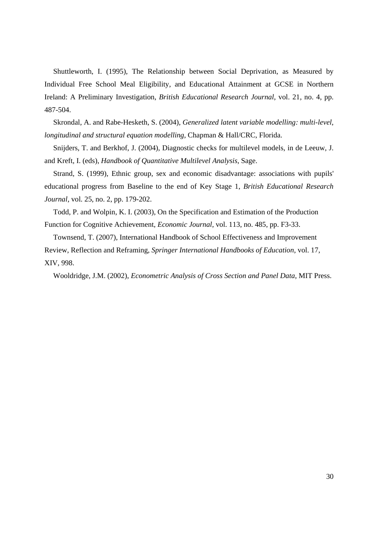Shuttleworth, I. (1995), The Relationship between Social Deprivation, as Measured by Individual Free School Meal Eligibility, and Educational Attainment at GCSE in Northern Ireland: A Preliminary Investigation, *British Educational Research Journal*, vol. 21, no. 4, pp. 487-504.

Skrondal, A. and Rabe-Hesketh, S. (2004), *Generalized latent variable modelling: multi-level, longitudinal and structural equation modelling*, Chapman & Hall/CRC, Florida.

Snijders, T. and Berkhof, J. (2004), Diagnostic checks for multilevel models, in de Leeuw, J. and Kreft, I. (eds), *Handbook of Quantitative Multilevel Analysis*, Sage.

Strand, S. (1999), Ethnic group, sex and economic disadvantage: associations with pupils' educational progress from Baseline to the end of Key Stage 1, *British Educational Research Journal*, vol. 25, no. 2, pp. 179-202.

Todd, P. and Wolpin, K. I. (2003), On the Specification and Estimation of the Production Function for Cognitive Achievement, *Economic Journal*, vol. 113, no. 485, pp. F3-33.

Townsend, T. (2007), International Handbook of School Effectiveness and Improvement Review, Reflection and Reframing, *Springer International Handbooks of Education*, vol. 17, XIV, 998.

Wooldridge, J.M. (2002), *Econometric Analysis of Cross Section and Panel Data*, MIT Press.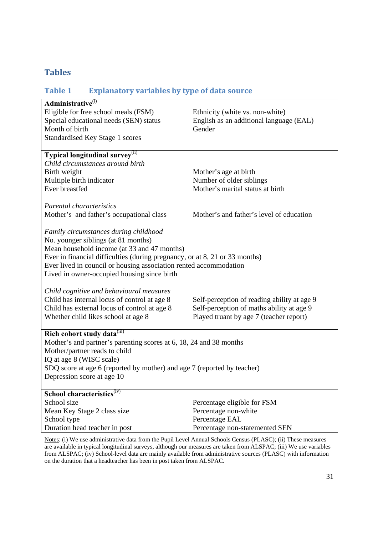## **Tables**

# **Table 1 Explanatory variables by type of data source Administrative**(i) Eligible for free school meals (FSM) Ethnicity (white vs. non-white) Special educational needs (SEN) status English as an additional language (EAL) Month of birth Gender Standardised Key Stage 1 scores **Typical longitudinal survey**<sup>(ii)</sup> *Child circumstances around birth*  Birth weight Mother's age at birth Multiple birth indicator Number of older siblings Ever breastfed Mother's marital status at birth *Parental characteristics*  Mother's and father's occupational class Mother's and father's level of education *Family circumstances during childhood*  No. younger siblings (at 81 months) Mean household income (at 33 and 47 months) Ever in financial difficulties (during pregnancy, or at 8, 21 or 33 months) Ever lived in council or housing association rented accommodation Lived in owner-occupied housing since birth *Child cognitive and behavioural measures* Child has internal locus of control at age 8 Self-perception of reading ability at age 9 Child has external locus of control at age 8 Self-perception of maths ability at age 9 Whether child likes school at age 8 Played truant by age 7 (teacher report) **Rich cohort study data**<sup>(iii)</sup> Mother's and partner's parenting scores at 6, 18, 24 and 38 months Mother/partner reads to child IQ at age 8 (WISC scale) SDQ score at age 6 (reported by mother) and age 7 (reported by teacher) Depression score at age 10 **School characteristics**(iv) School size **Percentage eligible for FSM** Mean Key Stage 2 class size Percentage non-white School type Percentage EAL Duration head teacher in post Percentage non-statemented SEN

Notes: (i) We use administrative data from the Pupil Level Annual Schools Census (PLASC); (ii) These measures are available in typical longitudinal surveys, although our measures are taken from ALSPAC; (iii) We use variables from ALSPAC; (iv) School-level data are mainly available from administrative sources (PLASC) with information on the duration that a headteacher has been in post taken from ALSPAC.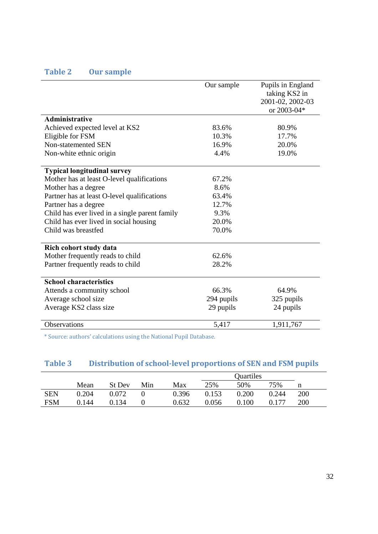# **Table 2 Our sample**

|                                                | Our sample | Pupils in England<br>taking KS2 in<br>2001-02, 2002-03<br>or 2003-04* |
|------------------------------------------------|------------|-----------------------------------------------------------------------|
| Administrative                                 |            |                                                                       |
| Achieved expected level at KS2                 | 83.6%      | 80.9%                                                                 |
| Eligible for FSM                               | 10.3%      | 17.7%                                                                 |
| Non-statemented SEN                            | 16.9%      | 20.0%                                                                 |
| Non-white ethnic origin                        | 4.4%       | 19.0%                                                                 |
| <b>Typical longitudinal survey</b>             |            |                                                                       |
| Mother has at least O-level qualifications     | 67.2%      |                                                                       |
| Mother has a degree                            | 8.6%       |                                                                       |
| Partner has at least O-level qualifications    | 63.4%      |                                                                       |
| Partner has a degree                           | 12.7%      |                                                                       |
| Child has ever lived in a single parent family | 9.3%       |                                                                       |
| Child has ever lived in social housing         | 20.0%      |                                                                       |
| Child was breastfed                            | 70.0%      |                                                                       |
| Rich cohort study data                         |            |                                                                       |
| Mother frequently reads to child               | 62.6%      |                                                                       |
| Partner frequently reads to child              | 28.2%      |                                                                       |
| <b>School characteristics</b>                  |            |                                                                       |
| Attends a community school                     | 66.3%      | 64.9%                                                                 |
| Average school size                            | 294 pupils | 325 pupils                                                            |
| Average KS2 class size                         | 29 pupils  | 24 pupils                                                             |
| Observations                                   | 5,417      | 1,911,767                                                             |

\* Source: authors' calculations using the National Pupil Database.

# **Table 3 Distribution of schoollevel proportions of SEN and FSM pupils**

|            | Mean  | St Dev | Min | Max   | 25%   | 50%   | 75%   | n   |
|------------|-------|--------|-----|-------|-------|-------|-------|-----|
| <b>SEN</b> | 0.204 | 0.072  |     | 0.396 | 0.153 | 0.200 | 0.244 | 200 |
| <b>FSM</b> | 0.144 | 0.134  |     | 0.632 | 0.056 | 0.100 |       | 200 |